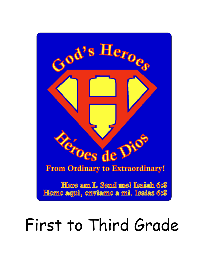

# First to Third Grade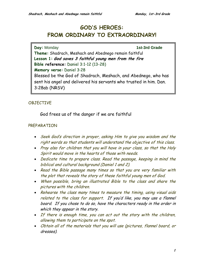# **GOD'S HEROES: FROM ORDINARY TO EXTRAORDINARY!**

**Day:** Monday **1st-3rd Grade Theme:** Shadrach, Meshach and Abednego remain faithful **Lesson 1: God saves 3 faithful young men from the fire Bible reference:** Daniel 3:1-12 (13-28) **Memory verse:** Daniel 3:28 Blessed be the God of Shadrach, Meshach, and Abednego, who has sent his angel and delivered his servants who trusted in him. Dan. 3:28ab (NRSV)

## OBJECTIVE

God frees us of the danger if we are faithful

#### PREPARATION

- Seek God's direction in prayer, asking Him to give you wisdom and the right words so that students will understand the objective of this class.
- Pray also for children that you will have in your class, so that the Holy Spirit would move in the hearts of those with needs.
- Dedicate time to prepare class. Read the passage, keeping in mind the biblical and cultural background (Daniel 1 and 2).
- Read the Bible passage many times so that you are very familiar with the plot that reveals the story of these faithful young men of God.
- When possible, bring an illustrated Bible to the class and share the pictures with the children.
- Rehearse the class many times to measure the timing, using visual aids related to the class for support. If you'd like, you may use a flannel board. If you chose to do so, have the characters ready in the order in which they appear in the story.
- If there is enough time, you can act out the story with the children, allowing them to participate on the spot.
- Obtain all of the materials that you will use (pictures, flannel board, or dresses).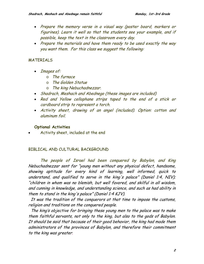- Prepare the memory verse in a visual way (poster board, markers or figurines). Learn it well so that the students see your example, and if possible, keep the text in the classroom every day.
- Prepare the materials and have them ready to be used exactly the way you want them. For this class we suggest the following:

#### MATERIALS

- Images of:
	- o The furnace
	- o The Golden Statue
	- o The king Nebuchadnezzar.
- Shadrach, Meshach and Abednego (these images are included)
- Red and Yellow cellophane strips taped to the end of a stick or cardboard strip to represent a torch.
- Activity sheet, drawing of an angel (included). Option: cotton and aluminum foil.

#### **Optional Activities**

• Activity sheet, included at the end

## BIBLICAL AND CULTURAL BACKGROUND

 The people of Israel had been conquered by Babylon, and King Nebuchadnezzar sent for "young men without any physical defect, handsome, showing aptitude for every kind of learning, well informed, quick to understand, and qualified to serve in the king's palace" (Daniel 1:4, NIV); "children in whom was no blemish, but well favored, and skilful in all wisdom, and cunning in knowledge, and understanding science, and such as had ability in them to stand in the king's palace" (Daniel 1:4 KJV).

It was the tradition of the conquerors at that time to impose the customs, religion and traditions on the conquered people.

 The king's objective for bringing these young men to the palace was to make them faithful servants, not only to the king, but also to the gods of Babylon. It should be said that because of their good behavior, the king had made them administrators of the provinces of Babylon, and therefore their commitment to the king was greater.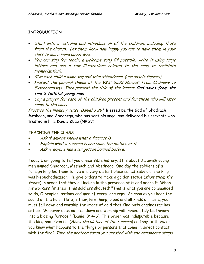#### INTRODUCTION

- Start with a welcome and introduce all of the children, including those from the church. Let them know how happy you are to have them in your class to learn more about God.
- You can sing (or teach) a welcome song (if possible, write it using large letters and use a few illustrations related to the song to facilitate memorization).
- Give each child a name tag and take attendance. (use angels figures)
- Present the general theme of the VBS: God's Heroes: From Ordinary to Extraordinary! Then present the title of the lesson: **God saves from the fire 3 faithful young men**
- Say a prayer for each of the children present and for those who will later come to the class.

Practice the memory verse, Daniel 3:28" Blessed be the God of Shadrach, Meshach, and Abednego, who has sent his angel and delivered his servants who trusted in him. Dan. 3:28ab (NRSV)

### TEACHING THE CLASS

- Ask if anyone knows what a furnace is
- Explain what a furnace is and show the picture of it.
- Ask if anyone has ever gotten burned before.

Today I am going to tell you a nice Bible history. It is about 3 Jewish young men named Shadrach, Meshach and Abednego. One day the soldiers of a foreign king led them to live in a very distant place called Babylon. The king was Nebuchadnezzar. He give orders to make a golden statue (show them the figure) in order that they all incline in the presence of it and adore it. When his workers finished it his soldiers shouted: "This is what you are commanded to do, O peoples, nations and men of every language: As soon as you hear the sound of the horn, flute, zither, lyre, harp, pipes and all kinds of music, you must fall down and worship the image of gold that King Nebuchadnezzar has set up. Whoever does not fall down and worship will immediately be thrown into a blazing furnace." (Daniel 3: 4-6). This order was indisputable because the king had given it. (Show the picture of the furnace) and say to them: do you know what happens to the things or persons that come in direct contact with the fire? Take the pretend torch you created with the cellophane strips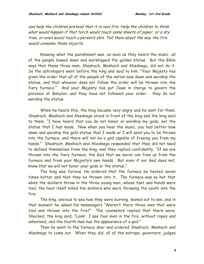and help the children pretend that it is real fire. Help the children to think what would happen if that torch would touch some sheets of paper, or a dry tree, or even would touch a person's skin. Tell them about the way the fire would consume those objects.

 Knowing what the punishment was, as soon as they heard the music, all of the people bowed down and worshipped the golden statue. But the Bible says that these three men, Shadrach, Meshach and Abednego, did not do it. So the astrologers went before the king and said to him, "Your Majesty has given the order that all of the people of the nation bow down and worship the statue, and that whoever does not follow the order will be thrown into the fiery furnace." And your Majesty has put Jews in charge to govern the province of Babylon, and they have not followed your order - they do not worship the statue.

 When he heard this, the king became very angry and he sent for them. Shadrach, Meshach and Abednego stood in front of the king and the king said to them, "I have heard that you do not honor or worship my gods, nor the statue that I had made. Now when you hear the music, you had better bow down and worship the gold statue that I made or I will send you to be thrown into the furnace, and there will not be a god capable of freeing you from my hands." Shadrach, Meshach and Abednego responded that they did not need to defend themselves from the king, and they replied confidently, "If we are thrown into the fiery furnace, the God that we serve can free us from the furnace and from your Majesty's own hands. But even if our God does not, know that we will not honor your gods or the statue."

 The king was furious. He ordered that the furnace be heated seven times hotter and that they be thrown into it. The furnace was so hot that when the soldiers threw in the three young men, whose feet and hands were tied, the heat itself killed the soldiers who were throwing the youth into the fire.

 The king, anxious to see how they were burning, leaned out to see, and in that moment he asked his messengers "Weren't there three men that were tied and thrown into the fire?" The counselors replied that there were. Shocked, the king said, "Look! I see four men in the fire, without ropes and unharmed, and the fourth man has the appearance of a god."

Then he went to the furnace door and ordered Shadrach, Meshach and Abednego to come out. When they did, all of the satraps, governors, judges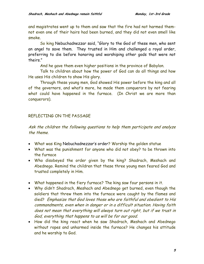and magistrates went up to them and saw that the fire had not harmed themnot even one of their hairs had been burned, and they did not even smell like smoke.

So king Nebuchadnezzar said, "Glory to the God of these men, who sent an angel to save them. They trusted in Him and challenged a royal order, preferring to die before honoring and worshiping other gods that were not theirs."

And he gave them even higher positions in the province of Babylon.

Talk to children about how the power of God can do all things and how He uses His children to show His glory.

Through these young men, God showed His power before the king and all of the governors, and what's more, he made them conquerors by not fearing what could have happened in the furnace. (In Christ we are more than conquerors).

# REFLECTING ON THE PASSAGE

Ask the children the following questions to help them participate and analyze the theme.

- What was King Nebuchadnezzar's order? Worship the golden statue
- What was the punishment for anyone who did not obey? to be thrown into the furnace
- Who disobeyed the order given by the king? Shadrach, Meshach and Abednego. Remind the children that these three young men feared God and trusted completely in Him.
- What happened in the fiery furnace? The king saw four persons in it.
- Why didn't Shadrach, Meshach and Abednego get burned, even though the soldiers that threw them into the furnace were caught by the flames and died? Emphasize that God loves those who are faithful and obedient to His commandments, even when in danger or in a difficult situation. Having faith does not mean that everything will always turn out right, but if we trust in God, everything that happens to us will be for our good.
- How did the king react when he saw Shadrach, Meshach and Abednego without ropes and unharmed inside the furnace? He changes his attitude and he worship to God.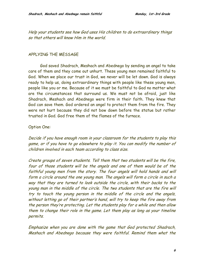Help your students see how God uses His children to do extraordinary things so that others will know Him in the world.

#### APPLYING THE MESSAGE

 God saved Shadrach, Meshach and Abednego by sending an angel to take care of them and they come out unhurt. These young men remained faithful to God. When we place our trust in God, we never will be let down. God is always ready to help us, doing extraordinary things with people like these young men, people like you or me. Because of it we must be faithful to God no matter what are the circumstances that surround us. We must not be afraid, just like Shadrach, Meshach and Abednego were firm in their faith. They knew that God can save them. God ordered an angel to protect them from the fire. They were not hurt because they did not bow down before the statue but rather trusted in God. God free them of the flames of the furnace.

#### Option One:

Decide if you have enough room in your classroom for the students to play this game, or if you have to go elsewhere to play it. You can modify the number of children involved in each team according to class size.

Create groups of seven students. Tell them that two students will be the fire, four of those students will be the angels and one of them would be of the faithful young men from the story. The four angels will hold hands and will form a circle around the one young man. The angels will form a circle in such a way that they are turned to look outside the circle, with their backs to the young man in the middle of the circle. The two students that are the fire will try to touch the young person in the middle of the circle and the angels, without letting go of their partner's hand, will try to keep the fire away from the person they're protecting. Let the students play for a while and then allow them to change their role in the game. Let them play as long as your timeline permits.

Emphasize when you are done with the game that God protected Shadrach, Meshach and Abednego because they were faithful. Remind them what the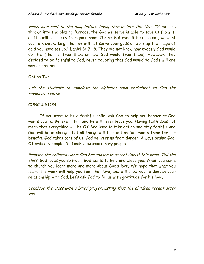young men said to the king before being thrown into the fire: "If we are thrown into the blazing furnace, the God we serve is able to save us from it, and he will rescue us from your hand, O king. But even if he does not, we want you to know, O king, that we will not serve your gods or worship the image of gold you have set up." Daniel 3:17-18. They did not know how exactly God would do this (that is, free them or how God would free them). However, they decided to be faithful to God, never doubting that God would do God's will one way or another.

## Option Two

Ask the students to complete the alphabet soup worksheet to find the memorized verse.

## **CONCLUSION**

 If you want to be a faithful child, ask God to help you behave as God wants you to. Believe in him and he will never leave you. Having faith does not mean that everything will be OK. We have to take action and stay faithful and God will be in charge that all things will turn out as God wants them for our benefit. God takes care of us. God delivers us from danger. Always praise God. Of ordinary people, God makes extraordinary people!

Prepare the children whom God has chosen to accept Christ this week. Tell the class: God loves you so much! God wants to help and bless you. When you come to church you learn more and more about God's love. We hope that what you learn this week will help you feel that love, and will allow you to deepen your relationship with God. Let's ask God to fill us with gratitude for his love.

Conclude the class with a brief prayer, asking that the children repeat after you.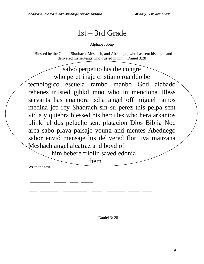# 1st – 3rd Grade

#### Alphabet Soup

 "Blessed be the God of Shadrach, Meshach, and Abednego, who has sent his angel and delivered his servants who trusted in him." Daniel 3:28

salvó perpetuo his the congre who peretrinaje cristiano roanldo be tecnologico escuela rambo manbo God alabado rehenes trusted gjhkd mno who in menciona Bless servants has enamora jsdja angel off miguel ramos medina jcp rey Shadrach sin su perez this pelpa sent vid a y quiebra blessed his hercules who hera arkantos blinki el dos peluche sent platacion Dios Biblia Noe arca sabo playa paisaje young and mentes Abednego sabor envió mensaje his delivered flor uva manzana Meshach angel alcatraz and boyd of him bebere friolin saved edonia them Write the text  $\frac{1}{2}$  ,  $\frac{1}{2}$  ,  $\frac{1}{2}$  ,  $\frac{1}{2}$  ,  $\frac{1}{2}$  ,  $\frac{1}{2}$  ,  $\frac{1}{2}$ 

Daniel 3: 28

\_\_\_\_ \_\_\_\_\_\_\_\_\_ , \_\_\_\_\_\_\_\_\_\_\_\_ , \_\_\_\_\_ \_\_\_\_\_\_\_\_\_ , \_\_\_\_\_\_ \_\_\_\_\_

\_\_\_\_\_ \_\_\_\_\_\_\_\_

\_\_\_\_\_\_ \_\_\_\_\_ \_\_\_\_\_\_ \_\_\_ \_\_\_\_\_\_\_\_\_\_ \_\_\_\_ \_\_\_\_\_\_\_\_\_\_\_ \_\_\_ \_\_\_\_\_\_\_\_\_\_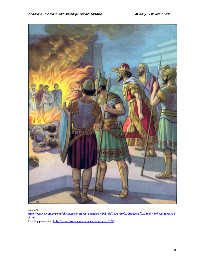

Source:

[http://www.lavistachurchofchrist.org/Pictures/Standard%20Bible%20Story%20Readers,%20Book%20Four/target22](http://www.lavistachurchofchrist.org/Pictures/Standard%20Bible%20Story%20Readers,%20Book%20Four/target22.html) [.html](http://www.lavistachurchofchrist.org/Pictures/Standard%20Bible%20Story%20Readers,%20Book%20Four/target22.html)

Used by permission<http://creativecommons.org/licenses/by-nc/2.0/>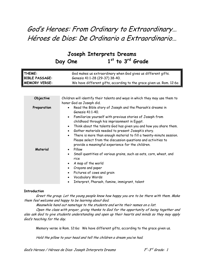# God's Heroes: From Ordinary to Extraordinary… Héroes de Dios: De Ordinario a Extraordinario…

# **Joseph Interprets Dreams**  Day One 1<sup>st</sup> to 3<sup>rd</sup> Grade

|                          | God makes us extraordinary when God gives us different gifts.        |
|--------------------------|----------------------------------------------------------------------|
| THEME:<br>BIBLE PASSAGE: | Genesis 41:1-28 (29-37) 38-40.                                       |
| MEMORY VERSE:            | We have different gifts, according to the grace given us. Rom. 12:6a |

| Objective   | Children will identify their talents and ways in which they may use them to                                                                                                                                                                                                                                                                                                                                                                                                                                                                                                          |
|-------------|--------------------------------------------------------------------------------------------------------------------------------------------------------------------------------------------------------------------------------------------------------------------------------------------------------------------------------------------------------------------------------------------------------------------------------------------------------------------------------------------------------------------------------------------------------------------------------------|
|             | honor God as Joseph did.                                                                                                                                                                                                                                                                                                                                                                                                                                                                                                                                                             |
| Preparation | Read the Bible story of Joseph and the Pharaoh's dreams in<br>$\bullet$<br>Genesis 41:1-40.<br>Familiarize yourself with previous stories of Joseph from<br>$\bullet$<br>childhood through his imprisonment in Egypt.<br>Think about the talents God has given you and how you share them.<br>$\bullet$<br>Gather materials needed to present Joseph's story.<br>$\bullet$<br>There is more than enough material to fill a twenty-minute session.<br>$\bullet$<br>Please select from the discussion questions and activities to<br>provide a meaningful experience for the children. |
| Material    | Pillow<br>$\bullet$<br>Small quantities of various grains, such as oats, corn, wheat, and<br>$\bullet$<br>rice<br>A map of the world<br>Crayons and paper<br>Pictures of cows and grain<br><b>Vocabulary Words:</b><br>Interpret, Pharaoh, famine, immigrant, talent                                                                                                                                                                                                                                                                                                                 |

#### **Introduction**

Greet the group. Let the young people know how happy you are to be there with them. Make them feel welcome and happy to be learning about God.

Meanwhile hand out nametags to the students and write their names on a list.

Open the class with prayer, giving thanks to God for the opportunity of being together and also ask God to give students understanding and open up their hearts and minds so they may apply God's teaching for the day.

Memory verse is Rom. 12:6a: We have different gifts, according to the grace given us.

Hold the pillow to your head and tell the children a dream you've had.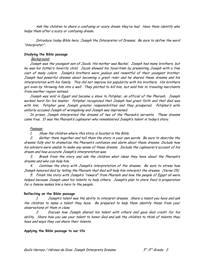Ask the children to share a confusing or scary dream they've had. Have them identify who helps them after a scary or confusing dream.

Introduce today Bible hero, Joseph the Interpreter of Dreams. Be sure to define the word "interpreter".

#### **Studying the Bible passage**

#### Background:

Joseph was the youngest son of Jacob. His mother was Rachel. Joseph had many brothers, but he was his father's favorite child. Jacob showed his favoritism by presenting Joseph with a fine coat of many colors. Joseph's brothers were jealous and resentful of their youngest brother. Joseph had powerful dreams about becoming a great ruler and he shared these dreams and his interpretation with his family. This did not improve his popularity with his brothers. His brothers got even by throwing him into a well. They plotted to kill him, but sold him to traveling merchants from another region instead.

Joseph was sold in Egypt and became a slave to Potiphar, an official of the Pharaoh. Joseph worked hard for his master. Potiphar recognized that Joseph had great faith and that God was with him. Potiphar gave Joseph greater responsibilities and they prospered. Potiphar's wife unfairly accused Joseph of wrongdoing and Joseph was imprisoned.

In prison, Joseph interpreted the dreams of two of the Pharaoh's servants. These dreams came true. It was the Pharaoh's cupbearer who remembered Joseph's talent in today's story.

#### Passage:

1. Show the children where this story is located in the Bible.

2. Gather them together and tell them the story in your own words. Be sure to describe the dreams fully and to dramatize the Pharaoh's confusion and alarm about these dreams. Include how his advisors were unable to make any sense of these dreams. Include the cupbearer's account of his dream and how accurate Joseph's interpretation was.

3. Break from the story and ask the children what ideas they have about the Pharaoh's dreams and who can help him.

4. Continue the story with Joseph's interpretation of the dreams. Be sure to stress how Joseph honored God by telling the Pharaoh that God will help him interpret the dreams. (Verse 25)

5. Finish the story with Joseph's "reward" from Pharaoh and how the people of Egypt all were helped because Joseph used his talents to help others. Joseph's plan to store food in preparation for a famine makes him a hero to the people.

#### **Reflecting on the Bible passage**

1. Joseph's talent was the ability to interpret dreams. Share a talent you have and ask the children to name a talent they have. Be prepared to help them identify these from your observations of them in class.

2. Discuss how Joseph shared his talent with others and gave God credit for his ability. Share how you use your talent to honor God and ask the children to think of talents they have and ways they can share their talents.

#### **Applying the Bible passage to our life**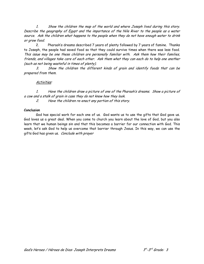1. Show the children the map of the world and where Joseph lived during this story. Describe the geography of Egypt and the importance of the Nile River to the people as a water source. Ask the children what happens to the people when they do not have enough water to drink or grow food.

2. Pharaoh's dreams described 7 years of plenty followed by 7 years of famine. Thanks to Joseph, the people had saved food so that they could survive times when there was less food. This issue may be one these children are personally familiar with. Ask them how their families, friends, and villages take care of each other. Ask them what they can each do to help one another (such as not being wasteful in times of plenty).

3. Show the children the different kinds of grain and identify foods that can be prepared from them.

#### Activities:

1. Have the children draw a picture of one of the Pharaoh's dreams. Show a picture of a cow and a stalk of grain in case they do not know how they look.

2. Have the children re-enact any portion of this story.

#### **Conclusion**

God has special work for each one of us. God wants us to use the gifts that God gave us. God loves us a great deal. When you come to church you learn about the love of God, but you also learn that we human beings sin and that this becomes a barrier for our connection with God. This week, let's ask God to help us overcome that barrier through Jesus. In this way, we can use the gifts God has given us. Conclude with prayer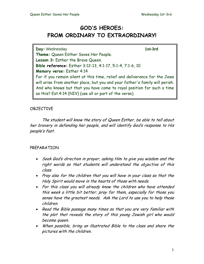# **GOD'S HEROES: FROM ORDINARY TO EXTRAORDINARY!**

**Day:** Wednesday **1st-3rd Theme:** Queen Esther Saves Her People. **Lesson 3:** Esther the Brave Queen. **Bible reference:** Esther 3:12-13, 4:1-17, 5:1-4, 7:1-6, 10 **Memory verse:** Esther 4:14 For if you remain silent at this time, relief and deliverance for the Jews will arise from another place, but you and your father's family will perish. And who knows but that you have come to royal position for such a time as this? Est.4:14 (NIV) (use all or part of the verse).

# OBJECTIVE

 The student will know the story of Queen Esther, be able to tell about her bravery in defending her people, and will identify God's response to His people's fast.

# PREPARATION

- Seek God's direction in prayer, asking Him to give you wisdom and the right words so that students will understand the objective of this class.
- Pray also for the children that you will have in your class so that the Holy Spirit would move in the hearts of those with needs.
- For this class you will already know the children who have attended this week a little bit better; pray for them, especially for those you sense have the greatest needs. Ask the Lord to use you to help these children.
- Read the Bible passage many times so that you are very familiar with the plot that reveals the story of this young Jewish girl who would become queen.
- When possible, bring an illustrated Bible to the class and share the pictures with the children.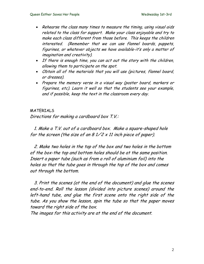- Rehearse the class many times to measure the timing, using visual aids related to the class for support. Make your class enjoyable and try to make each class different from those before. This keeps the children interested. (Remember that we can use flannel boards, puppets, figurines, or whatever objects we have available-it's only a matter of imagination and creativity).
- If there is enough time, you can act out the story with the children, allowing them to participate on the spot.
- Obtain all of the materials that you will use (pictures, flannel board, or dresses).
- Prepare the memory verse in a visual way (poster board, markers or figurines, etc). Learn it well so that the students see your example, and if possible, keep the text in the classroom every day.

# MATERIALS

Directions for making a cardboard box T.V.:

 1. Make a T.V. out of a cardboard box. Make a square-shaped hole for the screen (the size of an  $81/2 \times 11$  inch piece of paper).

 2. Make two holes in the top of the box and two holes in the bottom of the box-the top and bottom holes should be at the same position. Insert a paper tube (such as from a roll of aluminium foil) into the holes so that the tube goes in through the top of the box and comes out through the bottom.

 3. Print the scenes (at the end of the document) and glue the scenes end-to-end. Roll the lesson (divided into picture scenes) around the left-hand tube, and glue the first scene onto the right side of the tube. As you show the lesson, spin the tube so that the paper moves toward the right side of the box.

The images for this activity are at the end of the document.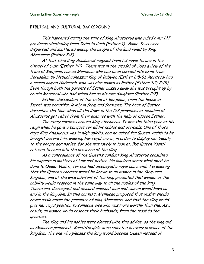#### BIBLICAL AND CULTURAL BACKGROUND

This happened during the time of King Ahasuerus who ruled over 127 provinces stretching from India to Cush (Esther 1). Some Jews were dispersed and scattered among the people of the land ruled by King Ahasuerus (Esther 3:8).

 At that time King Ahasuerus reigned from his royal throne in the citadel of Susa (Esther 1:2). There was in the citadel of Susa a Jew of the tribe of Benjamin named Mordecai who had been carried into exile from Jerusalem by Nebuchadnezzar King of Babylon (Esther 2:5-6). Mordecai had a cousin named Hadassah, who was also known as Esther (Esther 2:7; 2:15). Even though both the parents of Esther passed away she was brought up by cousin Mordecai who had taken her as his own daughter (Esther 2:7).

Esther, descendant of the tribe of Benjamin, from the house of Israel, was beautiful, lovely in form and features. The book of Esther describes the time when all the Jews in the 127 provinces of kingdom of Ahasuerus got relief from their enemies with the help of Queen Esther.

The story revolves around king Ahasuerus. It was the third year of his reign when he gave a banquet for all his nobles and officials. One of those days King Ahasuerus was in high spirits, and he asked for Queen Vashti to be brought before him, wearing her royal crown, in order to display her beauty to the people and nobles, for she was lovely to look at. But Queen Vashti refused to come into the presence of the King.

As a consequence of the Queen's conduct King Ahasuerus consulted his experts in matters of Law and justice. He inquired about what must be done to Queen Vashti, for she had disobeyed a royal commend. Foreseeing that the Queen's conduct would be known to all women in the Memucan kingdom, one of the wise advisors of the king predicted that women of the nobility would respond in the same way to all the nobles of the king. Therefore, disrespect and discord amongst men and women would have no end in the kingdom. In this context, Memucan proposed that Vashti should never again enter the presence of king Ahasuerus, and that the King would give her royal position to someone else who was more worthy than she. As a result, all women would respect their husbands, from the least to the greatest.

The King and his nobles were pleased with this advice, so the king did as Memucan proposed. Beautiful girls were selected in every province of the kingdom. The one who pleases the king would become Queen instead of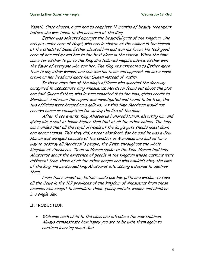Vashti. Once chosen, a girl had to complete 12 months of beauty treatment before she was taken to the presence of the King.

Esther was selected amongst the beautiful girls of the kingdom. She was put under care of Hegai, who was in charge of the women in the Harem at the citadel of Susa. Esther pleased him and won his favor. He took good care of her and moved her to the best place in the Harem. When the time came for Esther to go to the King she followed Hegai's advice. Esther won the favor of everyone who saw her. The King was attracted to Esther more than to any other woman, and she won his favor and approval. He set a royal crown on her head and made her Queen instead of Vashti.

In those days two of the king's officers who guarded the doorway conspired to assassinate King Ahasuerus. Mordecai found out about the plot and told Queen Esther, who in turn reported it to the king, giving credit to Mordecai. And when the report was investigated and found to be true, the two officials were hanged on a gallows. At this time Mordecai would not receive honor or recognition for saving the life of the king.

After these events, King Ahasuerus honored Haman, elevating him and giving him a seat of honor higher than that of all the other nobles. The king commanded that all the royal officials at the king's gate should kneel down and honor Haman. This they did, except Mordecai, for he said he was a Jew. Haman was enraged because of the conduct of Mordecai and looked for a way to destroy all Mordecai's people, the Jews, throughout the whole kingdom of Ahasuerus. To do so Haman spoke to the King. Haman told king Ahasuerus about the existence of people in the kingdom whose customs were different from those of all the other people and who wouldn't obey the laws of the king. He persuaded king Ahasuerus into issuing a decree to destroy them.

From this moment on, Esther would use her gifts and wisdom to save all the Jews in the 127 provinces of the kingdom of Ahasuerus from those enemies who sought to annihilate them- young and old, women and childrenin a single day.

#### INTRODUCTION

• Welcome each child to the class and introduce the new children. Always demonstrate how happy you are to be with them again to continue learning about God.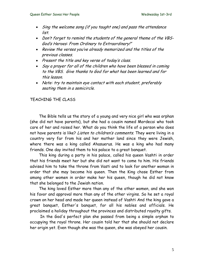- Sing the welcome song (if you taught one) and pass the attendance list.
- Don't forget to remind the students of the general theme of the VBS-God's Heroes: From Ordinary to Extraordinary!"
- Review the verses you've already memorized and the titles of the previous classes.
- Present the title and key verse of today's class.
- Say a prayer for all of the children who have been blessed in coming to the VBS. Give thanks to God for what has been learned and for this lesson.
- Note: try to maintain eye contact with each student, preferably seating them in a semicircle.

### TEACHING THE CLASS

The Bible tells us the story of a young and very nice girl who was orphan (she did not have parents), but she had a cousin named Mordecai who took care of her and raised her. What do you think the life of a person who does not have parents is like? Listen to children's comments. They were living in a country very far from his and her mother land since they were Jewish, where there was a king called Ahasuerus. He was a king who had many friends. One day invited them to his palace to a great banquet.

This king during a party in his palace, called his queen Vashti in order that his friends meet her but she did not want to come to him. His friends advised him to take the throne from Vasti and to look for another woman in order that she may become his queen. Then the King chose Esther from among other women in order make her his queen, though he did not know that she belonged to the Jewish nation.

The king loved Esther more than any of the other women, and she won his favor and approval more than any of the other virgins. So he set a royal crown on her head and made her queen instead of Vashti And the king gave a great banquet, Esther's banquet, for all his nobles and officials. He proclaimed a holiday throughout the provinces and distributed royalty gifts.

 In the God's perfect plan she passed from being a simple orphan to occupying the royal throne. Her cousin told her that she should not declare her origin yet. Even though she was the queen, she was obeyed her cousin.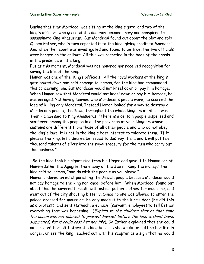During that time Mordecai was sitting at the king's gate, and two of the king's officers who guarded the doorway became angry and conspired to assassinate King Ahasuerus. But Mordecai found out about the plot and told Queen Esther, who in turn reported it to the king, giving credit to Mordecai. And when the report was investigated and found to be true, the two officials were hanged on the gallows. All this was recorded in the book of the annals in the presence of the king.

But at this moment, Mordacai was not honored nor received recognition for saving the life of the king.

Haman was one of the King's officials. All the royal workers at the king's gate bowed down and paid homage to Haman, for the king had commanded this concerning him. But Mordecai would not kneel down or pay him homage. When Haman saw that Mordecai would not kneel down or pay him homage, he was enraged. Yet having learned who Mordecai's people were, he scorned the idea of killing only Mordecai. Instead Haman looked for a way to destroy all Mordecai's people, the Jews, throughout the whole kingdom of Ahasuerus. Then Haman said to King Ahasuerus, "There is a certain people dispersed and scattered among the peoples in all the provinces of your kingdom whose customs are different from those of all other people and who do not obey the king's laws; it is not in the king's best interest to tolerate them. If it pleases the king, let a decree be issued to destroy them, and I will put ten thousand talents of silver into the royal treasury for the men who carry out this business."

 So the king took his signet ring from his finger and gave it to Haman son of Hammedatha, the Agagite, the enemy of the Jews. "Keep the money," the king said to Haman, "and do with the people as you please."

Haman ordered an edict punishing the Jewish people because Mordecai would not pay homage to the king nor kneel before him. When Mordecai found out about this, he covered himself with ashes, put on clothes for mourning, and went out of the city shouting bitterly. Since no one was allowed to enter the palace dressed for mourning, he only made it to the king's door (he did this as a protest), and sent Hathach, a eunuch, (servant, employee) to tell Esther everything that was happening. (Explain to the children that at that time the queen was not allowed to present herself before the king without being summoned, for it could cost her her life). So Esther explained that she could not present herself before the king because she would be putting her life in danger, unless the king reached out with his scepter as a sign that he would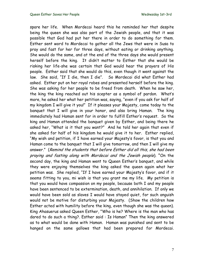spare her life. When Mordecai heard this he reminded her that despite being the queen she was also part of the Jewish people, and that it was possible that God had put her there in order to do something for them. Esther sent word to Mordecai to gather all the Jews that were in Susa to pray and fast for her for three days, without eating or drinking anything. She would do the same, and at the end of the three days she would present herself before the king. It didn't matter to Esther that she would be risking her life-she was certain that God would hear the prayers of His people. Esther said that she would do this, even though it went against the law. She said, "If I die, then I die". So Mordecai did what Esther had asked. Esther put on her royal robes and presented herself before the king. She was asking for her people to be freed from death. When he saw her, the king the king reached out his scepter as a symbol of pardon. What's more, he asked her what her petition was, saying, "even if you ask for half of my kingdom I will give it you!" If it pleases your Majesty, come today to the banquet that I will give in your honor, and also bring Haman. The king immediately had Haman sent for in order to fulfill Esther's request. So the king and Haman attended the banquet given by Esther, and being there he asked her, "What is it that you want?" And he told her again that even if she asked for half of his kingdom he would give it to her. Esther replied, "My wish and petition, if I have earned your Majesty's favor, is that you and Haman come to the banquet that I will give tomorrow, and then I will give my answer." (Remind the students that before Esther did all this, she had been praying and fasting along with Mordecai and the Jewish people). "On the second day, the king and Haman went to Queen Esther's banquet, and while they were enjoying themselves the king asked the queen again what her petition was. She replied, "If I have earned your Majesty's favor, and if it seems fitting to you, mi wish is that you grant me my life. My petition is that you would have compassion on my people, because both I and my people have been sentenced to be extermination, death, and annihilation. If only we would have been sold as slaves I would have stayed quiet, for such anguish would not be motive for disturbing your Majesty. (Show the children how Esther acted with humility before the king, even though she was the queen). King Ahasuerus asked Queen Esther, "Who is he? Where is the man who has dared to do such a thing?. Esther said : Is Haman" Then the king answered as to what would be done with Haman. Haman was punished and sent to be hanged on the same gallows that had been prepared for Mordecai.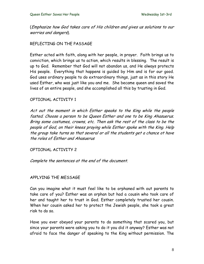(Emphasize how God takes care of His children and gives us solutions to our worries and dangers).

### REFLECTING ON THE PASSAGE

Esther acted with faith, along with her people, in prayer. Faith brings us to conviction, which brings us to action, which results in blessing. The result is up to God. Remember that God will not abandon us, and He always protects His people. Everything that happens is guided by Him and is for our good. God uses ordinary people to do extraordinary things, just as in this story He used Esther, who was just like you and me. She became queen and saved the lives of an entire people, and she accomplished all this by trusting in God.

#### OPTIONAL ACTIVITY 1

Act out the moment in which Esther speaks to the King while the people fasted. Choose a person to be Queen Esther and one to be King Ahasuerus. Bring some costumes, crowns, etc. Then ask the rest of the class to be the people of God, on their knees praying while Esther spoke with the King. Help the group take turns so that several or all the students get a chance ot have the roles of Esther and Ahasuerus

OPTIONAL ACTIVITY 2

Complete the sentences at the end of the document.

## APPLYING THE MESSAGE

Can you imagine what it must feel like to be orphaned with out parents to take care of you? Esther was an orphan but had a cousin who took care of her and taught her to trust in God. Esther completely trusted her cousin. When her cousin asked her to protect the Jewish people, she took a great risk to do so.

Have you ever obeyed your parents to do something that scared you, but since your parents were asking you to do it you did it anyway? Esther was not afraid to face the danger of speaking to the King without permission. The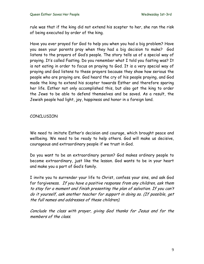rule was that if the king did not extend his scepter to her, she ran the risk of being executed by order of the king.

Have you ever prayed for God to help you when you had a big problem? Have you seen your parents pray when they had a big decision to make? God listens to the prayers of God's people. The story tells us of a special way of praying. It's called Fasting. Do you remember what I told you fasting was? It is not eating in order to focus on praying to God. It is a very special way of praying and God listens to these prayers because they show how serious the people who are praying are. God heard the cry of his people praying, and God made the king to extend his scepter towards Esther and therefore sparing her life. Esther not only accomplished this, but also got the king to order the Jews to be able to defend themselves and be saved. As a result, the Jewish people had light, joy, happiness and honor in a foreign land.

#### **CONCLUSION**

We need to imitate Esther's decision and courage, which brought peace and wellbeing. We need to be ready to help others. God will make us decisive, courageous and extraordinary people if we trust in God.

Do you want to be an extraordinary person? God makes ordinary people to become extraordinary, just like the lesson. God wants to be in your heart and make you a part of God's family.

I invite you to surrender your life to Christ, confess your sins, and ask God for forgiveness. If you have a positive response from any children, ask them to stay for a moment and finish presenting the plan of salvation. If you can't do it yourself, ask another teacher for support in doing so. (If possible, get the full names and addresses of these children).

Conclude the class with prayer, giving God thanks for Jesus and for the members of the class.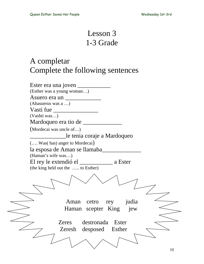# Lesson 3 1-3 Grade

# A completar Complete the following sentences

| Ester era una joven                 |    |
|-------------------------------------|----|
| (Esther was a young woman)          |    |
|                                     |    |
| (Ahasuerus was a )                  |    |
|                                     |    |
| (Vashti was)                        |    |
|                                     |    |
| (Mordecai was uncle of)             |    |
| le tenia coraje a Mardoqueo         |    |
| ( Was (has) anger to Mordecai)      |    |
| la esposa de Aman se llamaba_       |    |
| (Haman's wife was)                  |    |
|                                     |    |
| (the king held out the  to Esther)  |    |
|                                     |    |
| Aman<br>judia<br>cetro<br>rey       |    |
| scepter King<br>jew<br>Haman        |    |
|                                     |    |
| destronada<br><b>Zeres</b><br>Ester |    |
| Zeresh desposed Esther              |    |
|                                     | 10 |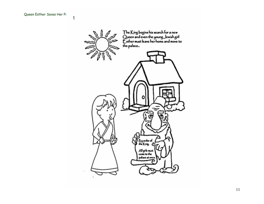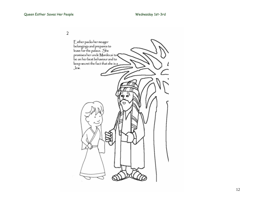$\sqrt{2}$ 

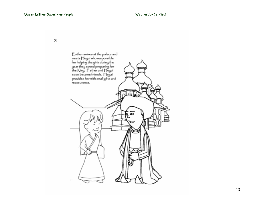$\overline{3}$ 

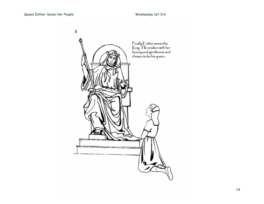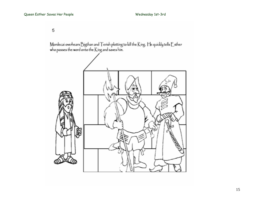$\overline{5}$ 

Mordecai overhears Bigthan and Terish plotting to kill the King. He quickly tells Esther<br>who passes the word onto the King and saves him.

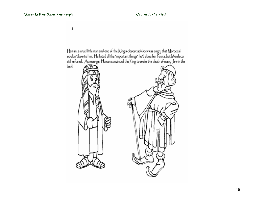6

Haman, a cruel little man and one of the King's closest advisors was angry that Mordecai<br>wouldn't bow to him. He listed all the "important things" he'd done for Persia, but Mordecai<br>still refused. As revenge, Haman convinc land.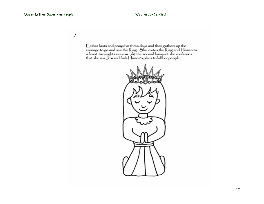$\overline{I}$ 

Estherfasts and prays for three days and then gathers up the<br>courage to go and see the King. She invites the King and Haman to<br>a feast two nights in a row. At the second banquet she confesses<br>that she is a Jew and foils Ha

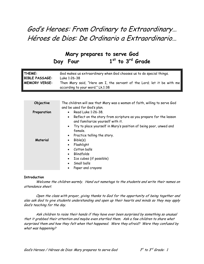# God's Heroes: From Ordinary to Extraordinary… Héroes de Dios: De Ordinario a Extraordinario…

# **Mary prepares to serve God**  Day Four 1<sup>st</sup> to 3<sup>rd</sup> Grade

| THEME:                | God makes us extraordinary when God chooses us to do special things.   |
|-----------------------|------------------------------------------------------------------------|
| <b>BIBLE PASSAGE:</b> | Luke 1:26-38                                                           |
| MEMORY VERSE:         | Then Mary said, "Here am I, the servant of the Lord; let it be with me |
|                       | according to your word." Lk.1:38                                       |

| Objective   | The children will see that Mary was a woman of faith, willing to serve God<br>and be used for God's plan.                                                                                                                                           |
|-------------|-----------------------------------------------------------------------------------------------------------------------------------------------------------------------------------------------------------------------------------------------------|
| Preparation | Read Luke 1:26-38.<br>$\bullet$<br>Reflect on the story from scripture as you prepare for the lesson<br>$\bullet$<br>and familiarize yourself with it.<br>Try to place yourself in Mary's position of being poor, unwed and<br>$\bullet$<br>female. |
| Material    | Practice telling the story.<br>$\bullet$<br>Bible(s)<br>$\bullet$<br>Flashlight<br>$\bullet$<br>Cotton balls<br>$\bullet$<br>Blindfolds<br>$\bullet$<br>Ice cubes (if possible)<br>$\bullet$<br>Small balls<br>$\bullet$<br>Paper and crayons       |

#### **Introduction**

Welcome the children warmly. Hand out nametags to the students and write their names on attendance sheet.

Open the class with prayer, giving thanks to God for the opportunity of being together and also ask God to give students understanding and open up their hearts and minds so they may apply God's teaching for the day.

Ask children to raise their hands if they have ever been surprised by something so unusual that it grabbed their attention and maybe even startled them. Ask a few children to share what surprised them and how they felt when that happened. Were they afraid? Were they confused by what was happening?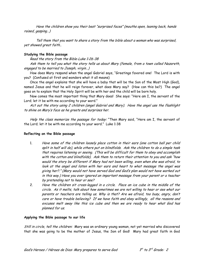Have the children show you their best "surprised faces" (mouths open, leaning back, hands raised, gasping…)

Tell them that you want to share a story from the bible about a woman who was surprised, yet showed great faith..

#### **Studying the Bible passage**

Read the story from the Bible-Luke 1:26-38

Ask them to tell you what the story tells us about Mary (female, from a town called Nazareth, engaged to be married to Joseph, virgin…)

How does Mary respond when the angel Gabriel says, "Greetings favored one! The Lord is with you? (Confused at first and wonders what it all means)

Once the angel explains that she will have a baby that will be the Son of the Most High (God), named Jesus and that he will reign forever, what does Mary say? (How can this be?) The angel goes on to explain that the Holy Spirit will be with her and the child will be born holy.

Now comes the most important thing that Mary does! She says: "Here am I, the servant of the Lord; let it be with me according to your word."

Act out the story using 2 children (angel Gabriel and Mary). Have the angel use the flashlight to shine on Mary's face as he greets and surprises her.

Help the class memorize the passage for today: "Then Mary said, "Here am I, the servant of the Lord; let it be with me according to your word." Luke 1:38

#### **Reflecting on the Bible passage**

- 1. Have some of the children loosely place cotton in their ears (one cotton ball per child split in half will do), while others put on blindfolds. Ask the children to do a simple task that requires listening or seeing. (This will be difficult for them to obey and accomplish with the cotton and blindfolds). Ask them to return their attention to you and ask "how would the story be different if Mary had not been willing, even when she was afraid, to look at the angel and listen with her ears and heart to what message the angel was giving her?." (Mary would not have served God and God's plan would not have worked out in this way.) Have you ever ignored an important message from your parent or a teacher by pretending not to hear or see?
- 2. Have the children sit cross-legged in a circle. Place an ice cube in the middle of the circle. As it melts, talk about how sometimes we are not willing to hear or see what our parents or teachers are telling us. Why is that? Are we afraid, too busy, angry, don't care or have trouble believing? If we have faith and obey willingly, all the reasons and excuses melt away like this ice cube and then we are ready to hear what God has planned for us.

#### **Applying the Bible passage to our life**

Still in circle, tell the children: Mary was an ordinary young woman, not yet married who discovered that she was going to be the mother of Jesus, the Son of God! Mary had great faith in God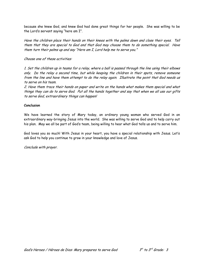because she knew God, and knew God had done great things for her people. She was willing to be the Lord's servant saying "here am I".

Have the children place their hands on their knees with the palms down and close their eyes. Tell them that they are special to God and that God may choose them to do something special. Have them turn their palms up and say "Here am I, Lord help me to serve you."

#### Choose one of these activities:

1. Set the children up in teams for a relay, where a ball is passed through the line using their elbows only. Do the relay a second time, but while keeping the children in their spots, remove someone from the line and have them attempt to do the relay again. Illustrate the point that God needs us to serve on his team.

2. Have them trace their hands on paper and write on the hands what makes them special and what things they can do to serve God. Put all the hands together and say that when we all use our gifts to serve God, extraordinary things can happen!

#### **Conclusion**

We have learned the story of Mary today, an ordinary young woman who served God in an extraordinary way-bringing Jesus into the world. She was willing to serve God and to help carry out his plan. May we all be part of God's team, being willing to hear what God tells us and to serve him.

God loves you so much! With Jesus in your heart, you have a special relationship with Jesus. Let's ask God to help you continue to grow in your knowledge and love of Jesus.

Conclude with prayer.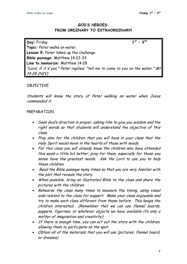## **GOD'S HEROES: FROM ORDINARY TO EXTRAORDINARY!**

**Day:** Friday **1st – 3rd Topic:** Peter walks on water. **Lesson 5:** Peter takes up the challenge **Bible passage:** Matthew 14:22-33 **Line to memorize:** Matthew 14:28 "Lord, if it's you," Peter replied, "tell me to come to you on the water." Mt 14:28 (NIV)

# OBJECTIVE

Students will know the story of Peter walking on water when Jesus commanded it.

### PREPARATION

- Seek God's direction in prayer, asking Him to give you wisdom and the right words so that students will understand the objective of this class.
- Pray also for the children that you will have in your class that the Holy Spirit would move in the hearts of those with needs.
- For this class you will already know the children who have attended this week a little bit better; pray for them, especially for those you sense have the greatest needs. Ask the Lord to use you to help these children.
- Read the Bible passage many times so that you are very familiar with the plot that reveals the story.
- When possible, bring an illustrated Bible to the class and share the pictures with the children.
- Rehearse the class many times to measure the timing, using visual aids related to the class for support. Make your class enjoyable and try to make each class different from those before. This keeps the children interested. (Remember that we can use flannel boards, puppets, figurines, or whatever objects we have available-it's only a matter of imagination and creativity).
- If there is enough time, you can act out the story with the children, allowing them to participate on the spot.
- Obtain all of the materials that you will use (pictures, flannel board, or dresses).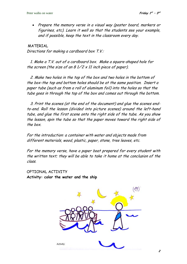• Prepare the memory verse in a visual way (poster board, markers or figurines, etc). Learn it well so that the students see your example, and if possible, keep the text in the classroom every day.

 MATERIAL Directions for making a cardboard box T.V.:

 1. Make a T.V. out of a cardboard box. Make a square-shaped hole for the screen (the size of an  $8\frac{1}{2}$  x 11 inch piece of paper).

 2. Make two holes in the top of the box and two holes in the bottom of the box-the top and bottom holes should be at the same position. Insert a paper tube (such as from a roll of aluminum foil) into the holes so that the tube goes in through the top of the box and comes out through the bottom.

 3. Print the scenes (at the end of the document) and glue the scenes endto-end. Roll the lesson (divided into picture scenes) around the left-hand tube, and glue the first scene onto the right side of the tube. As you show the lesson, spin the tube so that the paper moves toward the right side of the box.

For the introduction: a container with water and objects made from different materials, wood, plastic, paper, stone, tree leaves, etc.

For the memory verse, have a paper boat prepared for every student with the written text; they will be able to take it home at the conclusion of the class.

OPTIONAL ACTIVITY **Activity: color the water and the ship** 

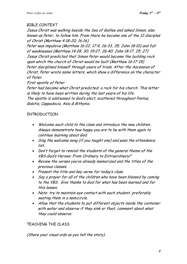# BIBLE CONTEXT

Jesus Christ was walking beside the Sea of Galilee and asked Simon, also known as Peter, to follow him. From there he became one of the 12 disciples of Christ (Matthew 4:18-20; 16:16).

Peter was impulsive (Matthew 16:22, 17:4, 26:33, 35; John 18:10) and full of weaknesses (Matthew 14:28, 30; 19:27, 26:40; John 18:17, 25, 27) Jesus Christ predicted that Simon Peter would become the building rock upon which the church of Christ would be built (Matthew 16:17-19) Peter disciplined himself through years of trials. After the Ascension of Christ, Peter wrote some letters, which show a difference on the character of Peter.

First epistle of Peter

Peter had become what Christ predicted: a rock for his church. This letter is likely to have been written during the last years of his life The epistle is addressed to God's elect, scattered throughout Pontus, Galatia, Cappadocia, Asia & Bithynia.

## INTRODUCTION

- Welcome each child to the class and introduce the new children. Always demonstrate how happy you are to be with them again to continue learning about God.
- Sing the welcome song (if you taught one) and pass the attendance list.
- Don't forget to remind the students of the general theme of the VBS-God's Heroes: From Ordinary to Extraordinary!"
- Review the verses you've already memorized and the titles of the previous classes.
- Present the title and key verse for today's class.
- Say a prayer for all of the children who have been blessed by coming to the VBS. Give thanks to God for what has been learned and for this lesson.
- Note: try to maintain eye contact with each student, preferably seating them in a semicircle.
- Allow that the students to put different objects inside the container with water and observe if they sink or float, comment about what they could observe

## TEACHING THE CLASS

(Share your visual aids as you tell the story).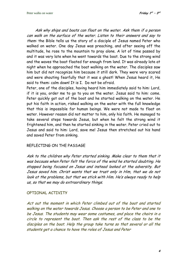Ask why ships and boats can float on the water. Ask them if a person can walk on the surface of the water. Listen to their answers and say to them: the Bible tells us the story of a disciple of Jesus named Peter who walked on water. One day Jesus was preaching, and after seeing off the multitude, he rose to the mountain to pray alone. A lot of time passed by and it was very late when he went towards the boat. Due to the strong wind and the waves the boat floated far enough from land. It was already late at night when he approached the boat walking on the water. The disciples saw him but did not recognize him because it still dark. They were very scared and were shouting fearfully that it was a ghost! When Jesus heard it, He said to them: calm down! It is I. Do not be afraid.

Peter, one of the disciples, having heard him immediately said to him: Lord, if it is you, order me to go to you on the water. Jesus said to him: come. Peter quickly got out of the boat and he started walking on the water. He put his faith in action, risked walking on the water with the full knowledge that this is impossible for human beings. We were not made to float on water. However reason did not matter to him, only his faith. He managed to take several steps towards Jesus, but when he felt the strong wind it frightened him, and then he started sinking in the water. Peter cried out to Jesus and said to him: Lord, save me! Jesus then stretched out his hand and saved Peter from sinking.

#### REFLECTING ON THE PASSAGE

Ask to the children why Peter started sinking. Make clear to them that it was because when Peter felt the force of the wind he started doubting. He stopped being focused on Jesus and instead looked at the adversity. But Jesus saved him. Christ wants that we trust only in Him, that we do not look at the problems, but that we stick with Him. He's always ready to help us, so that we may do extraordinary things.

#### OPTIONAL ACTIVITY

Act out the moment in which Peter climbed out of the boat and started walking on the water towards Jesus. Choose a person to be Peter and one to be Jesus. The students may wear some costumes, and place the chairs in a circle to represent the boat. Then ask the rest of the class to be the disciples on the boat. Help the group take turns so that several or all the students get a chance to have the roles of Jesus and Peter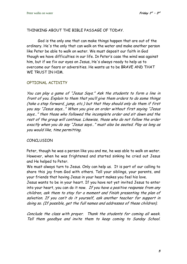#### THINKING ABOUT THE BIBLE PASSAGE OF TODAY.

 God is the only one that can make things happen that are out of the ordinary. He's the only that can walk on the water and make another person like Peter be able to walk on water. We must deposit our faith in God though we have difficulties in our life. In Peter's case the wind was against him, but if we fix our eyes on Jesus, He's always ready to help us to overcome our fears or adversities. He wants us to be BRAVE AND THAT WE TRUST IN HIM.

#### OPTIONAL ACTIVITY

You can play a game of "Jesus Says." Ask the students to form a line in front of you. Explain to them that you'll give them orders to do some things (take a step forward, jump, etc.) but that they should only do them if first you say "Jesus says…" When you give an order without first saying "Jesus says…" then those who followed the incomplete order and sit down and the rest of the group will continue. Likewise, those who do not follow the order exactly when you do say "Jesus says…" must also be seated. Play as long as you would like, time permitting.

#### **CONCLUSION**

Peter, though he was a person like you and me, he was able to walk on water. However, when he was frightened and started sinking he cried out Jesus and He helped to Peter.

We must always turn to Jesus. Only can help us. It is part of our calling to share this joy from God with others. Tell your siblings, your parents, and your friends that having Jesus in your heart makes you feel his love.

Jesus wants to be in your heart. If you have not yet invited Jesus to enter into your heart, you can do it now. If you have a positive response from any children, ask them to stay for a moment and finish presenting the plan of salvation. If you can't do it yourself, ask another teacher for support in doing so. (If possible, get the full names and addresses of these children).

Conclude the class with prayer. Thank the students for coming all week. Tell them goodbye and invite them to keep coming to Sunday School.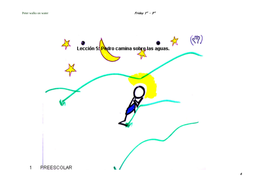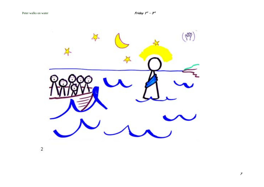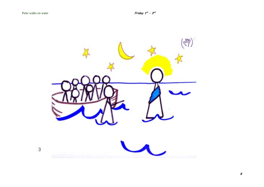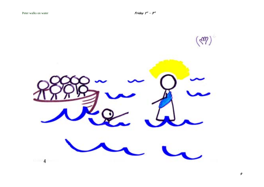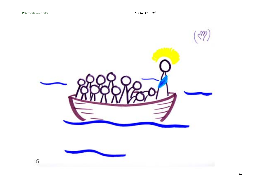